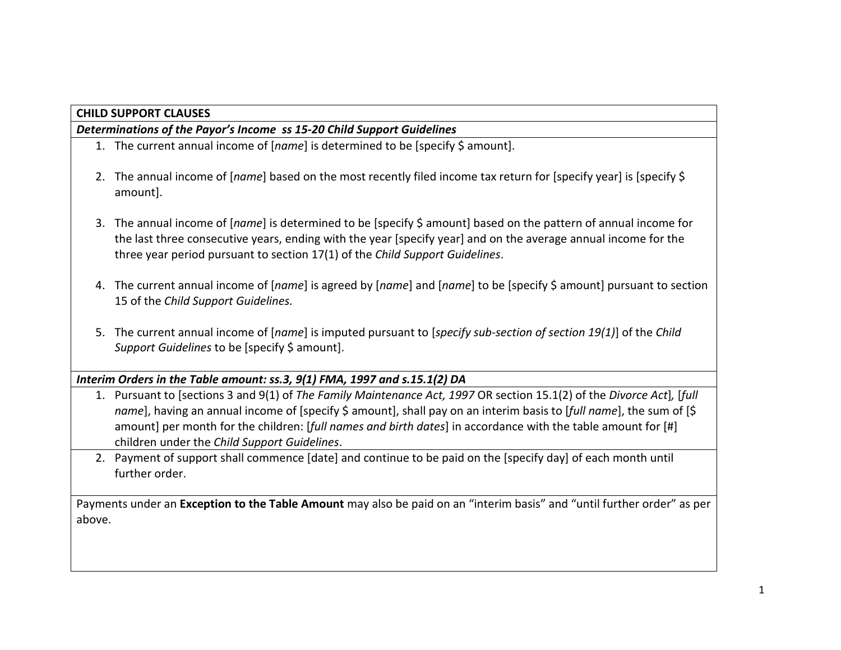## **CHILD SUPPORT CLAUSES**

#### *Determinations of the Payor's Income ss 15-20 Child Support Guidelines*

- 1. The current annual income of [*name*] is determined to be [specify \$ amount].
- 2. The annual income of [*name*] based on the most recently filed income tax return for [specify year] is [specify \$ amount].
- 3. The annual income of [*name*] is determined to be [specify \$ amount] based on the pattern of annual income for the last three consecutive years, ending with the year [specify year] and on the average annual income for the three year period pursuant to section 17(1) of the *Child Support Guidelines*.
- 4. The current annual income of [*name*] is agreed by [*name*] and [*name*] to be [specify \$ amount] pursuant to section 15 of the *Child Support Guidelines.*
- 5. The current annual income of [*name*] is imputed pursuant to [*specify sub-section of section 19(1)*] of the *Child Support Guidelines* to be [specify \$ amount].

# *Interim Orders in the Table amount: ss.3, 9(1) FMA, 1997 and s.15.1(2) DA*

- 1. Pursuant to [sections 3 and 9(1) of *The Family Maintenance Act, 1997* OR section 15.1(2) of the *Divorce Act*]*,* [*full name*], having an annual income of [specify \$ amount], shall pay on an interim basis to [*full name*], the sum of [\$ amount] per month for the children: [*full names and birth dates*] in accordance with the table amount for [#] children under the *Child Support Guidelines*.
- 2. Payment of support shall commence [date] and continue to be paid on the [specify day] of each month until further order.

Payments under an **Exception to the Table Amount** may also be paid on an "interim basis" and "until further order" as per above.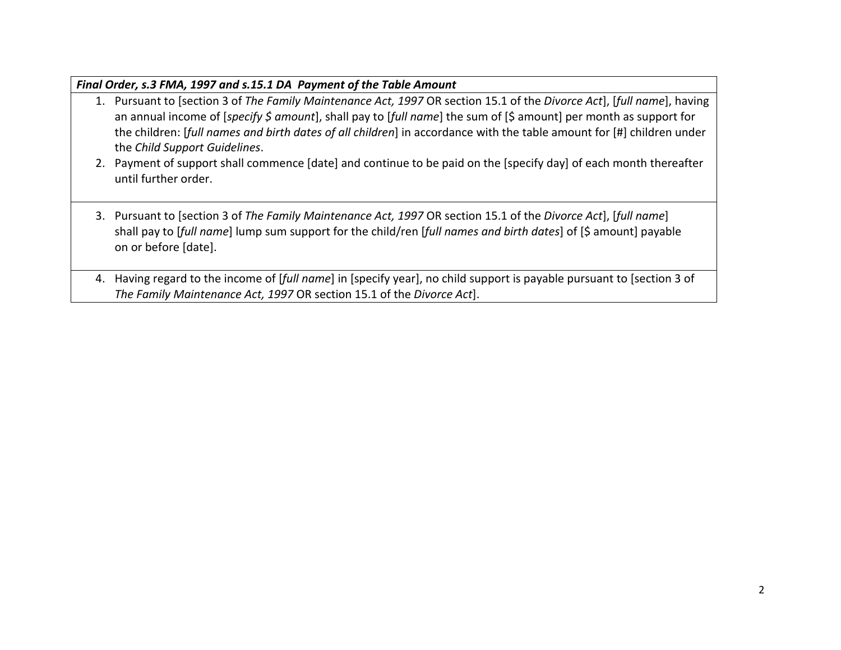| Final Order, s.3 FMA, 1997 and s.15.1 DA Payment of the Table Amount |                                                                                                                                                                                                                                                                                                                                                                                                       |  |
|----------------------------------------------------------------------|-------------------------------------------------------------------------------------------------------------------------------------------------------------------------------------------------------------------------------------------------------------------------------------------------------------------------------------------------------------------------------------------------------|--|
|                                                                      | 1. Pursuant to [section 3 of The Family Maintenance Act, 1997 OR section 15.1 of the Divorce Act], [full name], having<br>an annual income of [specify \$ amount], shall pay to [full name] the sum of [\$ amount] per month as support for<br>the children: [full names and birth dates of all children] in accordance with the table amount for [#] children under<br>the Child Support Guidelines. |  |
|                                                                      | 2. Payment of support shall commence [date] and continue to be paid on the [specify day] of each month thereafter<br>until further order.                                                                                                                                                                                                                                                             |  |
|                                                                      | 3. Pursuant to [section 3 of The Family Maintenance Act, 1997 OR section 15.1 of the Divorce Act], [full name]<br>shall pay to [full name] lump sum support for the child/ren [full names and birth dates] of [\$ amount] payable<br>on or before [date].                                                                                                                                             |  |
|                                                                      | 4. Having regard to the income of [full name] in [specify year], no child support is payable pursuant to [section 3 of                                                                                                                                                                                                                                                                                |  |

*The Family Maintenance Act, 1997* OR section 15.1 of the *Divorce Act*].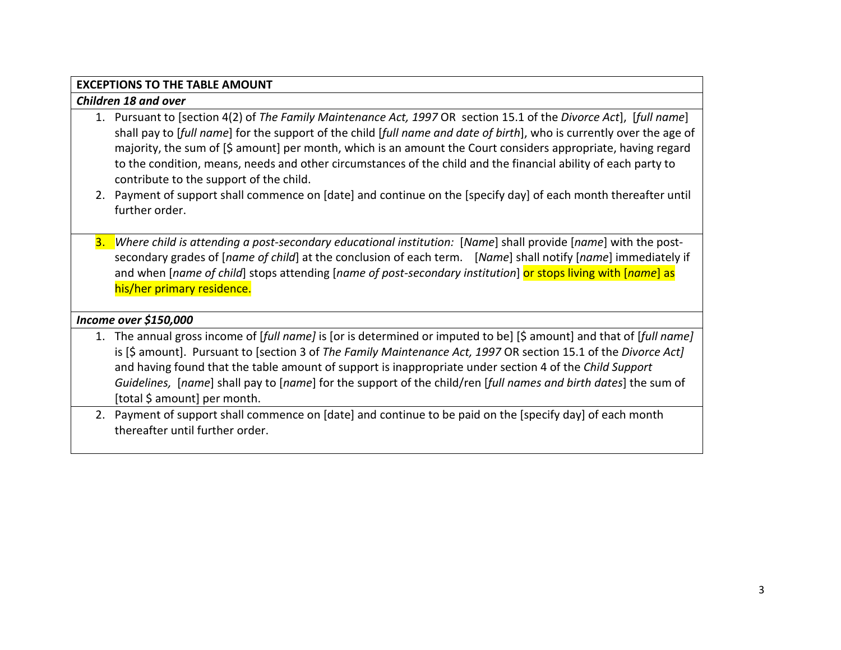## **EXCEPTIONS TO THE TABLE AMOUNT**

#### *Children 18 and over*

- 1. Pursuant to [section 4(2) of *The Family Maintenance Act, 1997* OR section 15.1 of the *Divorce Act*], [*full name*] shall pay to [*full name*] for the support of the child [*full name and date of birth*], who is currently over the age of majority, the sum of [\$ amount] per month, which is an amount the Court considers appropriate, having regard to the condition, means, needs and other circumstances of the child and the financial ability of each party to contribute to the support of the child.
- 2. Payment of support shall commence on [date] and continue on the [specify day] of each month thereafter until further order.
- 3. *Where child is attending a post-secondary educational institution:* [*Name*] shall provide [*name*] with the postsecondary grades of [*name of child*] at the conclusion of each term. [*Name*] shall notify [*name*] immediately if and when [*name of child*] stops attending [*name of post-secondary institution*] or stops living with [*name*] as his/her primary residence.

## *Income over \$150,000*

- 1. The annual gross income of [*full name]* is [or is determined or imputed to be] [\$ amount] and that of [*full name]*  is [\$ amount]. Pursuant to [section 3 of *The Family Maintenance Act, 1997* OR section 15.1 of the *Divorce Act]*  and having found that the table amount of support is inappropriate under section 4 of the *Child Support Guidelines,* [*name*] shall pay to [*name*] for the support of the child/ren [*full names and birth dates*] the sum of [total \$ amount] per month.
- 2. Payment of support shall commence on [date] and continue to be paid on the [specify day] of each month thereafter until further order.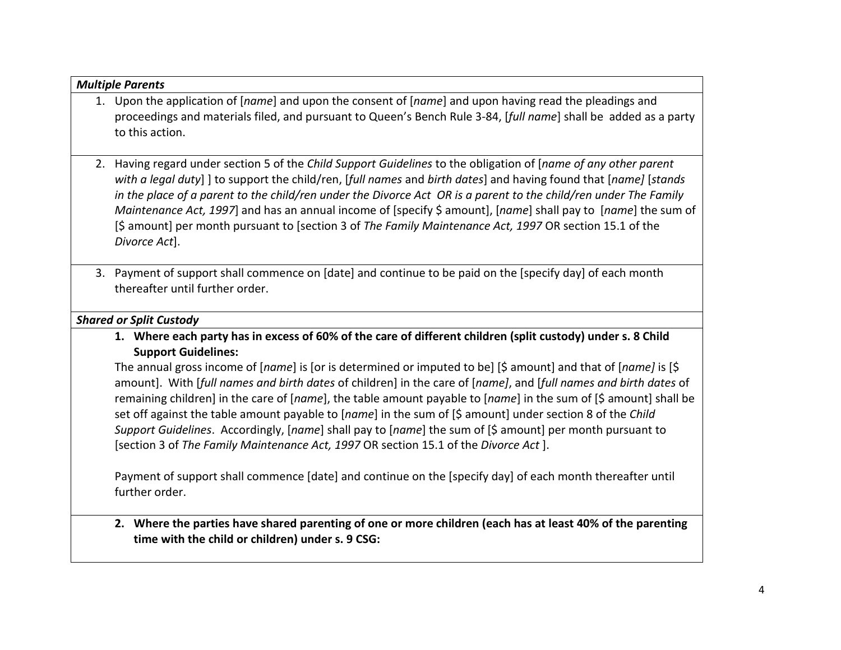| <b>Multiple Parents</b>                                                                                                                                                                                                                                                                                                                                                                                                                                                                                                                                                                              |
|------------------------------------------------------------------------------------------------------------------------------------------------------------------------------------------------------------------------------------------------------------------------------------------------------------------------------------------------------------------------------------------------------------------------------------------------------------------------------------------------------------------------------------------------------------------------------------------------------|
| 1. Upon the application of [name] and upon the consent of [name] and upon having read the pleadings and                                                                                                                                                                                                                                                                                                                                                                                                                                                                                              |
| proceedings and materials filed, and pursuant to Queen's Bench Rule 3-84, [full name] shall be added as a party                                                                                                                                                                                                                                                                                                                                                                                                                                                                                      |
| to this action.                                                                                                                                                                                                                                                                                                                                                                                                                                                                                                                                                                                      |
| 2. Having regard under section 5 of the Child Support Guidelines to the obligation of [name of any other parent<br>with a legal duty] ] to support the child/ren, [full names and birth dates] and having found that [name] [stands<br>in the place of a parent to the child/ren under the Divorce Act OR is a parent to the child/ren under The Family<br>Maintenance Act, 1997] and has an annual income of [specify \$ amount], [name] shall pay to [name] the sum of<br>[\$ amount] per month pursuant to [section 3 of The Family Maintenance Act, 1997 OR section 15.1 of the<br>Divorce Act]. |
| 3. Payment of support shall commence on [date] and continue to be paid on the [specify day] of each month<br>thereafter until further order.                                                                                                                                                                                                                                                                                                                                                                                                                                                         |
| <b>Shared or Split Custody</b>                                                                                                                                                                                                                                                                                                                                                                                                                                                                                                                                                                       |
| 1. Where each party has in excess of 60% of the care of different children (split custody) under s. 8 Child<br><b>Support Guidelines:</b>                                                                                                                                                                                                                                                                                                                                                                                                                                                            |
| The annual gross income of [name] is [or is determined or imputed to be] [\$ amount] and that of [name] is [\$<br>amount]. With [full names and birth dates of children] in the care of [name], and [full names and birth dates of                                                                                                                                                                                                                                                                                                                                                                   |
| remaining children] in the care of [name], the table amount payable to [name] in the sum of [\$ amount] shall be<br>set off against the table amount payable to [name] in the sum of [\$ amount] under section 8 of the Child                                                                                                                                                                                                                                                                                                                                                                        |
| Support Guidelines. Accordingly, [name] shall pay to [name] the sum of [\$ amount] per month pursuant to<br>[section 3 of The Family Maintenance Act, 1997 OR section 15.1 of the Divorce Act].                                                                                                                                                                                                                                                                                                                                                                                                      |
| Payment of support shall commence [date] and continue on the [specify day] of each month thereafter until<br>further order.                                                                                                                                                                                                                                                                                                                                                                                                                                                                          |
|                                                                                                                                                                                                                                                                                                                                                                                                                                                                                                                                                                                                      |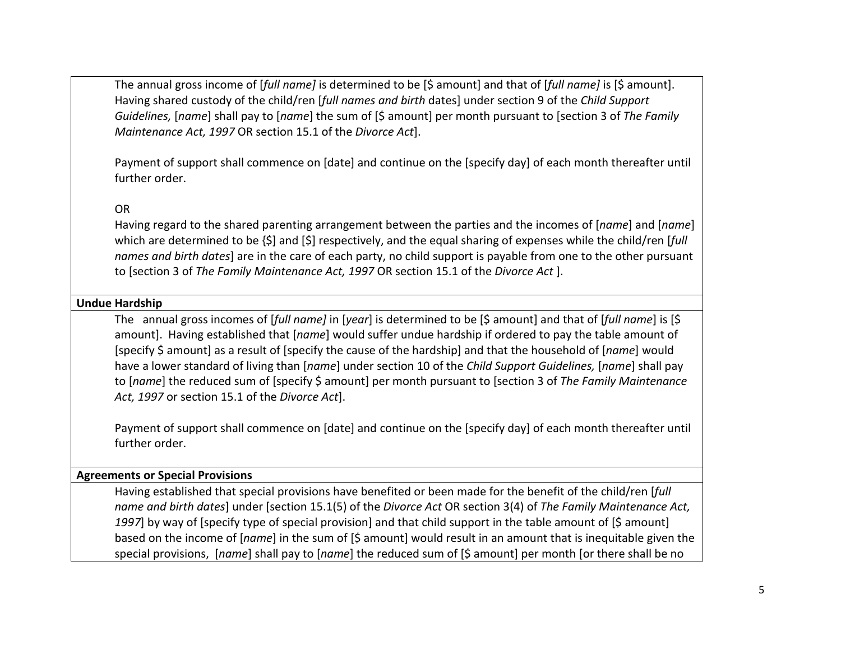The annual gross income of [*full name]* is determined to be [\$ amount] and that of [*full name]* is [\$ amount]. Having shared custody of the child/ren [*full names and birth* dates] under section 9 of the *Child Support Guidelines,* [*name*] shall pay to [*name*] the sum of [\$ amount] per month pursuant to [section 3 of *The Family Maintenance Act, 1997* OR section 15.1 of the *Divorce Act*].

Payment of support shall commence on [date] and continue on the [specify day] of each month thereafter until further order.

## OR

Having regard to the shared parenting arrangement between the parties and the incomes of [*name*] and [*name*] which are determined to be {\$] and [\$] respectively, and the equal sharing of expenses while the child/ren [*full names and birth dates*] are in the care of each party, no child support is payable from one to the other pursuant to [section 3 of *The Family Maintenance Act, 1997* OR section 15.1 of the *Divorce Act* ].

#### **Undue Hardship**

The annual gross incomes of [*full name]* in [*year*] is determined to be [\$ amount] and that of [*full name*] is [\$ amount]. Having established that [*name*] would suffer undue hardship if ordered to pay the table amount of [specify \$ amount] as a result of [specify the cause of the hardship] and that the household of [*name*] would have a lower standard of living than [*name*] under section 10 of the *Child Support Guidelines,* [*name*] shall pay to [*name*] the reduced sum of [specify \$ amount] per month pursuant to [section 3 of *The Family Maintenance Act, 1997* or section 15.1 of the *Divorce Act*].

Payment of support shall commence on [date] and continue on the [specify day] of each month thereafter until further order.

#### **Agreements or Special Provisions**

Having established that special provisions have benefited or been made for the benefit of the child/ren [*full name and birth dates*] under [section 15.1(5) of the *Divorce Act* OR section 3(4) of *The Family Maintenance Act,*  1997] by way of [specify type of special provision] and that child support in the table amount of [\$ amount] based on the income of [*name*] in the sum of [\$ amount] would result in an amount that is inequitable given the special provisions, [*name*] shall pay to [*name*] the reduced sum of [\$ amount] per month [or there shall be no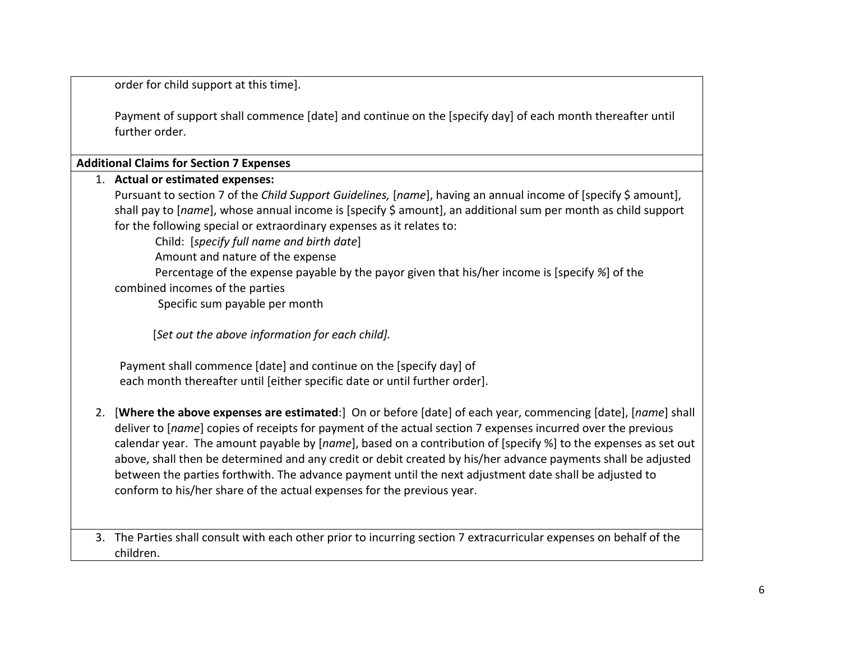order for child support at this time].

Payment of support shall commence [date] and continue on the [specify day] of each month thereafter until further order.

**Additional Claims for Section 7 Expenses**

children.

|    | 1. Actual or estimated expenses:<br>Pursuant to section 7 of the Child Support Guidelines, [name], having an annual income of [specify \$ amount],<br>shall pay to [name], whose annual income is [specify \$ amount], an additional sum per month as child support<br>for the following special or extraordinary expenses as it relates to:<br>Child: [specify full name and birth date]<br>Amount and nature of the expense                                                                                                                                                                                                                      |
|----|----------------------------------------------------------------------------------------------------------------------------------------------------------------------------------------------------------------------------------------------------------------------------------------------------------------------------------------------------------------------------------------------------------------------------------------------------------------------------------------------------------------------------------------------------------------------------------------------------------------------------------------------------|
|    | Percentage of the expense payable by the payor given that his/her income is [specify %] of the<br>combined incomes of the parties<br>Specific sum payable per month                                                                                                                                                                                                                                                                                                                                                                                                                                                                                |
|    | [Set out the above information for each child].                                                                                                                                                                                                                                                                                                                                                                                                                                                                                                                                                                                                    |
|    | Payment shall commence [date] and continue on the [specify day] of<br>each month thereafter until [either specific date or until further order].                                                                                                                                                                                                                                                                                                                                                                                                                                                                                                   |
| 2. | [Where the above expenses are estimated:] On or before [date] of each year, commencing [date], [name] shall<br>deliver to [name] copies of receipts for payment of the actual section 7 expenses incurred over the previous<br>calendar year. The amount payable by [name], based on a contribution of [specify %] to the expenses as set out<br>above, shall then be determined and any credit or debit created by his/her advance payments shall be adjusted<br>between the parties forthwith. The advance payment until the next adjustment date shall be adjusted to<br>conform to his/her share of the actual expenses for the previous year. |
|    | 3. The Parties shall consult with each other prior to incurring section 7 extracurricular expenses on behalf of the                                                                                                                                                                                                                                                                                                                                                                                                                                                                                                                                |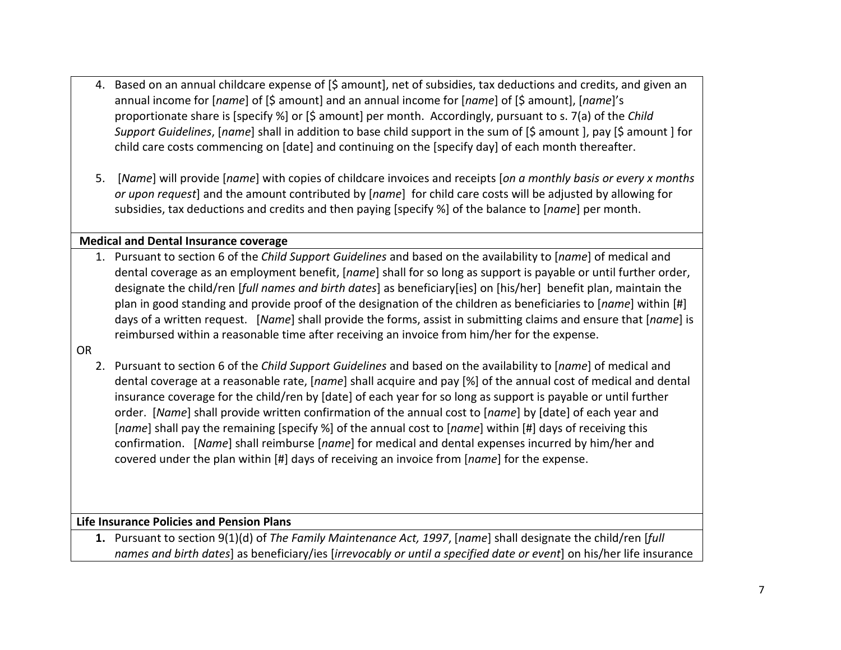- 4. Based on an annual childcare expense of [\$ amount], net of subsidies, tax deductions and credits, and given an annual income for [*name*] of [\$ amount] and an annual income for [*name*] of [\$ amount], [*name*]'s proportionate share is [specify %] or [\$ amount] per month. Accordingly, pursuant to s. 7(a) of the *Child Support Guidelines*, [*name*] shall in addition to base child support in the sum of [\$ amount ], pay [\$ amount ] for child care costs commencing on [date] and continuing on the [specify day] of each month thereafter.
- 5. [*Name*] will provide [*name*] with copies of childcare invoices and receipts [*on a monthly basis or every x months or upon request*] and the amount contributed by [*name*] for child care costs will be adjusted by allowing for subsidies, tax deductions and credits and then paying [specify %] of the balance to [*name*] per month.

#### **Medical and Dental Insurance coverage**

1. Pursuant to section 6 of the *Child Support Guidelines* and based on the availability to [*name*] of medical and dental coverage as an employment benefit, [*name*] shall for so long as support is payable or until further order, designate the child/ren [*full names and birth dates*] as beneficiary[ies] on [his/her] benefit plan, maintain the plan in good standing and provide proof of the designation of the children as beneficiaries to [*name*] within [#] days of a written request. [*Name*] shall provide the forms, assist in submitting claims and ensure that [*name*] is reimbursed within a reasonable time after receiving an invoice from him/her for the expense.

OR

2. Pursuant to section 6 of the *Child Support Guidelines* and based on the availability to [*name*] of medical and dental coverage at a reasonable rate, [*name*] shall acquire and pay [%] of the annual cost of medical and dental insurance coverage for the child/ren by [date] of each year for so long as support is payable or until further order. [*Name*] shall provide written confirmation of the annual cost to [*name*] by [date] of each year and [*name*] shall pay the remaining [specify %] of the annual cost to [*name*] within [#] days of receiving this confirmation. [*Name*] shall reimburse [*name*] for medical and dental expenses incurred by him/her and covered under the plan within [#] days of receiving an invoice from [*name*] for the expense.

#### **Life Insurance Policies and Pension Plans**

**1.** Pursuant to section 9(1)(d) of *The Family Maintenance Act, 1997*, [*name*] shall designate the child/ren [*full names and birth dates*] as beneficiary/ies [*irrevocably or until a specified date or event*] on his/her life insurance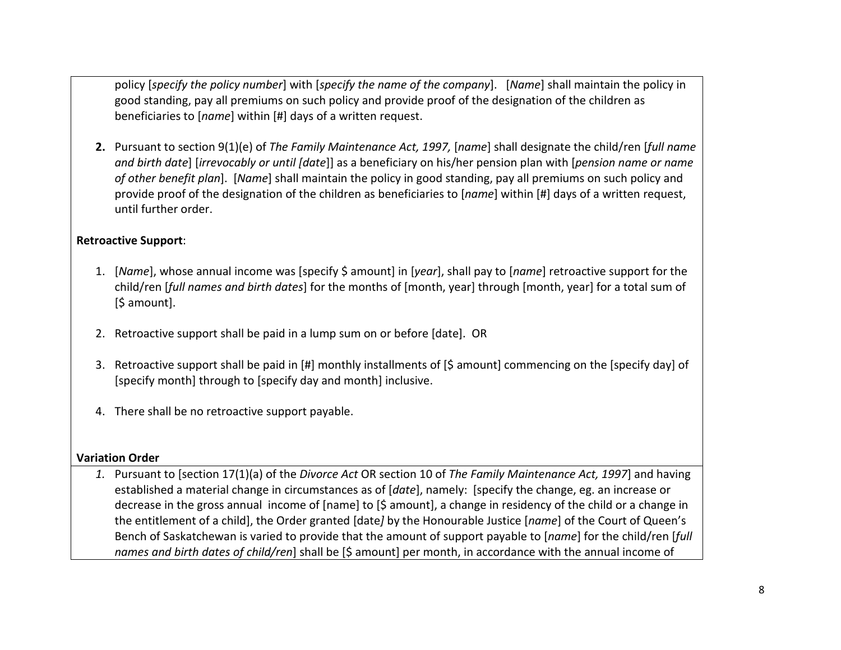policy [*specify the policy number*] with [*specify the name of the company*]. [*Name*] shall maintain the policy in good standing, pay all premiums on such policy and provide proof of the designation of the children as beneficiaries to [*name*] within [#] days of a written request.

**2.** Pursuant to section 9(1)(e) of *The Family Maintenance Act, 1997,* [*name*] shall designate the child/ren [*full name and birth date*] [*irrevocably or until [date*]] as a beneficiary on his/her pension plan with [*pension name or name of other benefit plan*]. [*Name*] shall maintain the policy in good standing, pay all premiums on such policy and provide proof of the designation of the children as beneficiaries to [*name*] within [#] days of a written request, until further order.

# **Retroactive Support**:

- 1. [*Name*], whose annual income was [specify \$ amount] in [*year*], shall pay to [*name*] retroactive support for the child/ren [*full names and birth dates*] for the months of [month, year] through [month, year] for a total sum of [\$ amount].
- 2. Retroactive support shall be paid in a lump sum on or before [date]. OR
- 3. Retroactive support shall be paid in [#] monthly installments of [\$ amount] commencing on the [specify day] of [specify month] through to [specify day and month] inclusive.
- 4. There shall be no retroactive support payable.

#### **Variation Order**

*1.* Pursuant to [section 17(1)(a) of the *Divorce Act* OR section 10 of *The Family Maintenance Act, 1997*] and having established a material change in circumstances as of [*date*], namely: [specify the change, eg. an increase or decrease in the gross annual income of [name] to [\$ amount], a change in residency of the child or a change in the entitlement of a child], the Order granted [date*]* by the Honourable Justice [*name*] of the Court of Queen's Bench of Saskatchewan is varied to provide that the amount of support payable to [*name*] for the child/ren [*full names and birth dates of child/ren*] shall be [\$ amount] per month, in accordance with the annual income of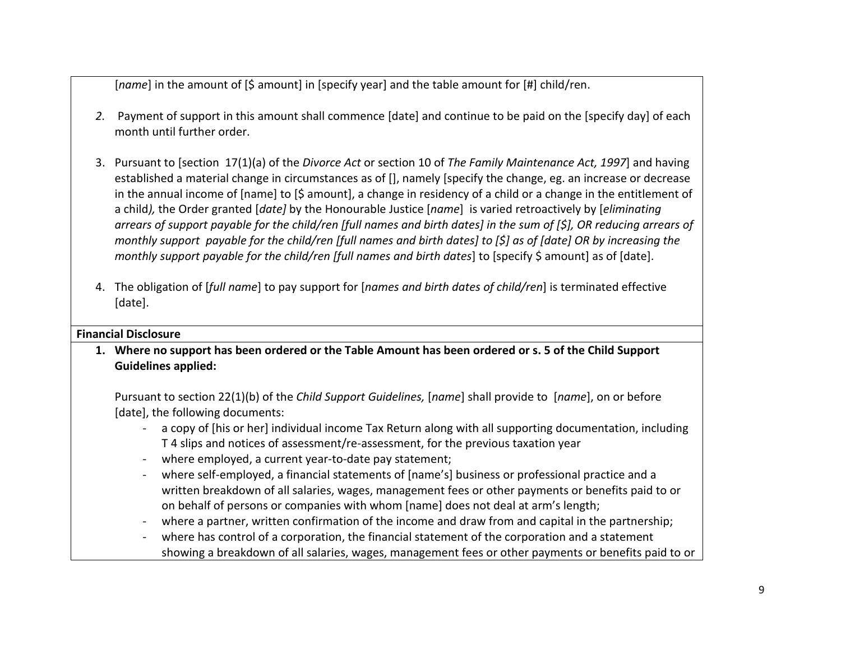[*name*] in the amount of [\$ amount] in [specify year] and the table amount for [#] child/ren.

- *2.* Payment of support in this amount shall commence [date] and continue to be paid on the [specify day] of each month until further order.
- 3. Pursuant to [section 17(1)(a) of the *Divorce Act* or section 10 of *The Family Maintenance Act, 1997*] and having established a material change in circumstances as of [], namely [specify the change, eg. an increase or decrease in the annual income of [name] to [\$ amount], a change in residency of a child or a change in the entitlement of a child*),* the Order granted [*date]* by the Honourable Justice [*name*] is varied retroactively by [*eliminating arrears of support payable for the child/ren [full names and birth dates] in the sum of [\$], OR reducing arrears of monthly support payable for the child/ren [full names and birth dates] to [\$] as of [date] OR by increasing the monthly support payable for the child/ren [full names and birth dates]* to [specify \$ amount] as of [date].
- 4. The obligation of [*full name*] to pay support for [*names and birth dates of child/ren*] is terminated effective [date].

# **Financial Disclosure**

**1. Where no support has been ordered or the Table Amount has been ordered or s. 5 of the Child Support Guidelines applied:**

Pursuant to section 22(1)(b) of the *Child Support Guidelines,* [*name*] shall provide to [*name*], on or before [date], the following documents:

- a copy of [his or her] individual income Tax Return along with all supporting documentation, including T 4 slips and notices of assessment/re-assessment, for the previous taxation year
- where employed, a current year-to-date pay statement;
- where self-employed, a financial statements of [name's] business or professional practice and a written breakdown of all salaries, wages, management fees or other payments or benefits paid to or on behalf of persons or companies with whom [name] does not deal at arm's length;
- where a partner, written confirmation of the income and draw from and capital in the partnership;
- where has control of a corporation, the financial statement of the corporation and a statement showing a breakdown of all salaries, wages, management fees or other payments or benefits paid to or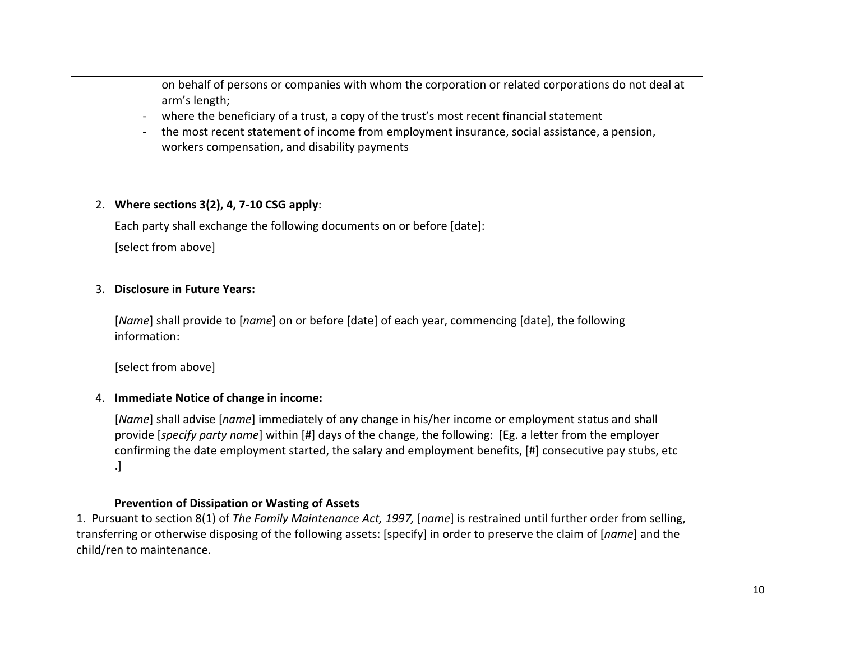on behalf of persons or companies with whom the corporation or related corporations do not deal at arm's length;

- where the beneficiary of a trust, a copy of the trust's most recent financial statement
- the most recent statement of income from employment insurance, social assistance, a pension, workers compensation, and disability payments

# 2. **Where sections 3(2), 4, 7-10 CSG apply**:

Each party shall exchange the following documents on or before [date]:

[select from above]

# 3. **Disclosure in Future Years:**

[*Name*] shall provide to [*name*] on or before [date] of each year, commencing [date], the following information:

[select from above]

# 4. **Immediate Notice of change in income:**

[*Name*] shall advise [*name*] immediately of any change in his/her income or employment status and shall provide [*specify party name*] within [#] days of the change, the following: [Eg. a letter from the employer confirming the date employment started, the salary and employment benefits, [#] consecutive pay stubs, etc .]

# **Prevention of Dissipation or Wasting of Assets**

1. Pursuant to section 8(1) of *The Family Maintenance Act, 1997,* [*name*] is restrained until further order from selling, transferring or otherwise disposing of the following assets: [specify] in order to preserve the claim of [*name*] and the child/ren to maintenance.